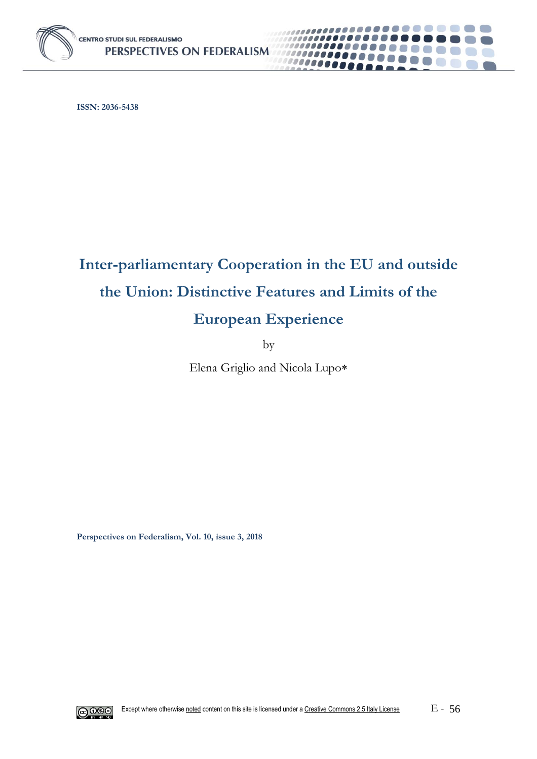

**CENTRO STUDI SUL FEDERALISMO IVES ON FEDERALISM PERSP** 

**ISSN: 2036-5438**

# **Inter-parliamentary Cooperation in the EU and outside the Union: Distinctive Features and Limits of the European Experience**

000000000 10000000

by

Elena Griglio and Nicola Lupo

**Perspectives on Federalism, Vol. 10, issue 3, 2018**

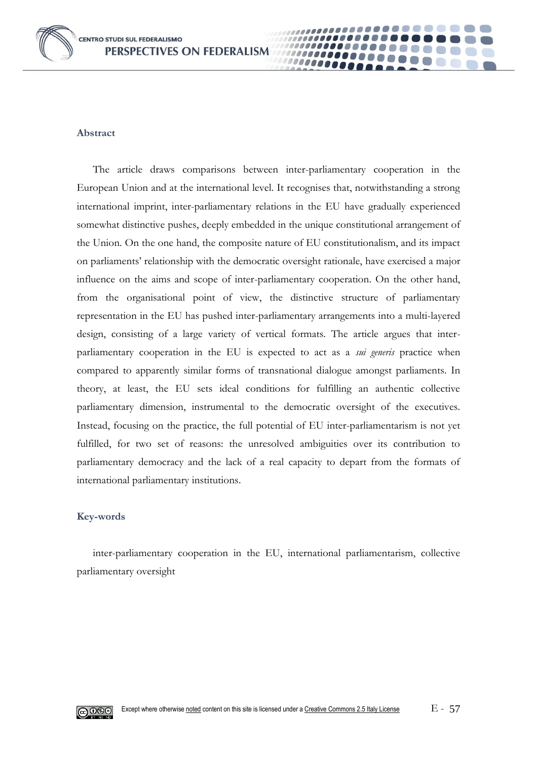

#### **Abstract**

The article draws comparisons between inter-parliamentary cooperation in the European Union and at the international level. It recognises that, notwithstanding a strong international imprint, inter-parliamentary relations in the EU have gradually experienced somewhat distinctive pushes, deeply embedded in the unique constitutional arrangement of the Union. On the one hand, the composite nature of EU constitutionalism, and its impact on parliaments' relationship with the democratic oversight rationale, have exercised a major influence on the aims and scope of inter-parliamentary cooperation. On the other hand, from the organisational point of view, the distinctive structure of parliamentary representation in the EU has pushed inter-parliamentary arrangements into a multi-layered design, consisting of a large variety of vertical formats. The article argues that interparliamentary cooperation in the EU is expected to act as a *sui generis* practice when compared to apparently similar forms of transnational dialogue amongst parliaments. In theory, at least, the EU sets ideal conditions for fulfilling an authentic collective parliamentary dimension, instrumental to the democratic oversight of the executives. Instead, focusing on the practice, the full potential of EU inter-parliamentarism is not yet fulfilled, for two set of reasons: the unresolved ambiguities over its contribution to parliamentary democracy and the lack of a real capacity to depart from the formats of international parliamentary institutions.

0000

#### **Key-words**

inter-parliamentary cooperation in the EU, international parliamentarism, collective parliamentary oversight

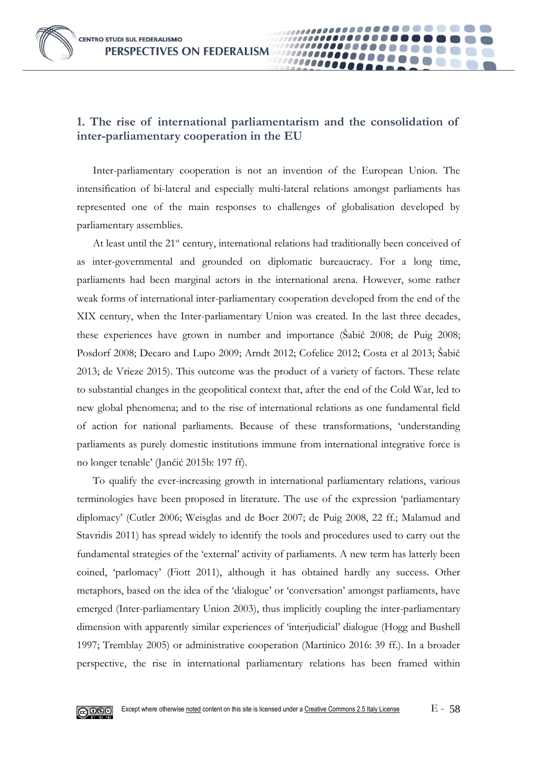**CENTRO STUDI SUL FEDERALISMO PERSPECTIVES ON FEDERALISM** 

## **1. The rise of international parliamentarism and the consolidation of inter-parliamentary cooperation in the EU**

00000

Inter-parliamentary cooperation is not an invention of the European Union. The intensification of bi-lateral and especially multi-lateral relations amongst parliaments has represented one of the main responses to challenges of globalisation developed by parliamentary assemblies.

At least until the  $21<sup>st</sup>$  century, international relations had traditionally been conceived of as inter-governmental and grounded on diplomatic bureaucracy. For a long time, parliaments had been marginal actors in the international arena. However, some rather weak forms of international inter-parliamentary cooperation developed from the end of the XIX century, when the Inter-parliamentary Union was created. In the last three decades, these experiences have grown in number and importance (Šabič 2008; de Puig 2008; Posdorf 2008; Decaro and Lupo 2009; Arndt 2012; Cofelice 2012; Costa et al 2013; Šabič 2013; de Vrieze 2015). This outcome was the product of a variety of factors. These relate to substantial changes in the geopolitical context that, after the end of the Cold War, led to new global phenomena; and to the rise of international relations as one fundamental field of action for national parliaments. Because of these transformations, 'understanding parliaments as purely domestic institutions immune from international integrative force is no longer tenable' (Jančić 2015b: 197 ff).

To qualify the ever-increasing growth in international parliamentary relations, various terminologies have been proposed in literature. The use of the expression 'parliamentary diplomacy' (Cutler 2006; Weisglas and de Boer 2007; de Puig 2008, 22 ff.; Malamud and Stavridis 2011) has spread widely to identify the tools and procedures used to carry out the fundamental strategies of the 'external' activity of parliaments. A new term has latterly been coined, 'parlomacy' (Fiott 2011), although it has obtained hardly any success. Other metaphors, based on the idea of the 'dialogue' or 'conversation' amongst parliaments, have emerged (Inter-parliamentary Union 2003), thus implicitly coupling the inter-parliamentary dimension with apparently similar experiences of 'interjudicial' dialogue (Hogg and Bushell 1997; Tremblay 2005) or administrative cooperation (Martinico 2016: 39 ff.). In a broader perspective, the rise in international parliamentary relations has been framed within

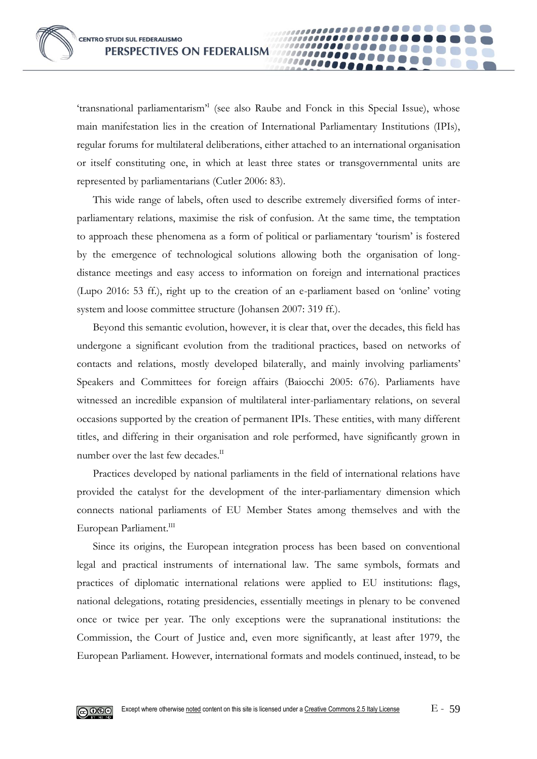'transnational parliamentarism<sup>31</sup> (see also Raube and Fonck in this Special Issue), whose main manifestation lies in the creation of International Parliamentary Institutions (IPIs), regular forums for multilateral deliberations, either attached to an international organisation or itself constituting one, in which at least three states or transgovernmental units are represented by parliamentarians (Cutler 2006: 83).

0000

This wide range of labels, often used to describe extremely diversified forms of interparliamentary relations, maximise the risk of confusion. At the same time, the temptation to approach these phenomena as a form of political or parliamentary 'tourism' is fostered by the emergence of technological solutions allowing both the organisation of longdistance meetings and easy access to information on foreign and international practices (Lupo 2016: 53 ff.), right up to the creation of an e-parliament based on 'online' voting system and loose committee structure (Johansen 2007: 319 ff.).

Beyond this semantic evolution, however, it is clear that, over the decades, this field has undergone a significant evolution from the traditional practices, based on networks of contacts and relations, mostly developed bilaterally, and mainly involving parliaments' Speakers and Committees for foreign affairs (Baiocchi 2005: 676). Parliaments have witnessed an incredible expansion of multilateral inter-parliamentary relations, on several occasions supported by the creation of permanent IPIs. These entities, with many different titles, and differing in their organisation and role performed, have significantly grown in number over the last few decades.<sup>II</sup>

Practices developed by national parliaments in the field of international relations have provided the catalyst for the development of the inter-parliamentary dimension which connects national parliaments of EU Member States among themselves and with the European Parliament.<sup>III</sup>

Since its origins, the European integration process has been based on conventional legal and practical instruments of international law. The same symbols, formats and practices of diplomatic international relations were applied to EU institutions: flags, national delegations, rotating presidencies, essentially meetings in plenary to be convened once or twice per year. The only exceptions were the supranational institutions: the Commission, the Court of Justice and, even more significantly, at least after 1979, the European Parliament. However, international formats and models continued, instead, to be

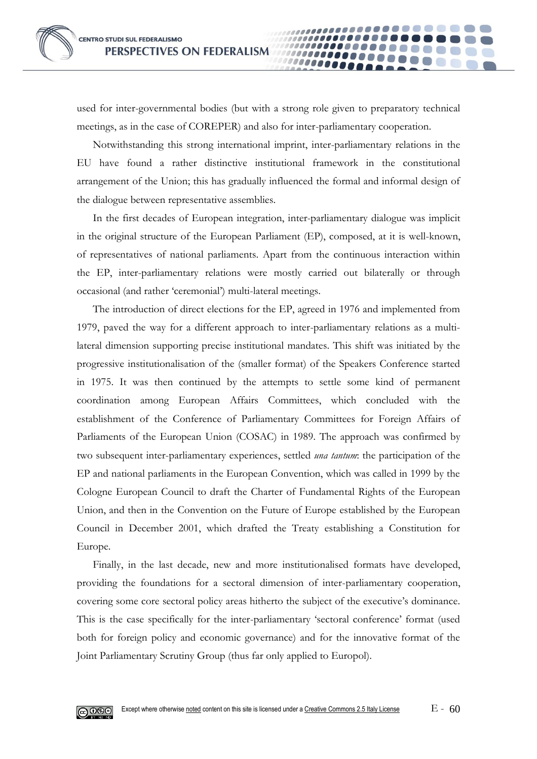used for inter-governmental bodies (but with a strong role given to preparatory technical meetings, as in the case of COREPER) and also for inter-parliamentary cooperation.

00000

Notwithstanding this strong international imprint, inter-parliamentary relations in the EU have found a rather distinctive institutional framework in the constitutional arrangement of the Union; this has gradually influenced the formal and informal design of the dialogue between representative assemblies.

In the first decades of European integration, inter-parliamentary dialogue was implicit in the original structure of the European Parliament (EP), composed, at it is well-known, of representatives of national parliaments. Apart from the continuous interaction within the EP, inter-parliamentary relations were mostly carried out bilaterally or through occasional (and rather 'ceremonial') multi-lateral meetings.

The introduction of direct elections for the EP, agreed in 1976 and implemented from 1979, paved the way for a different approach to inter-parliamentary relations as a multilateral dimension supporting precise institutional mandates. This shift was initiated by the progressive institutionalisation of the (smaller format) of the Speakers Conference started in 1975. It was then continued by the attempts to settle some kind of permanent coordination among European Affairs Committees, which concluded with the establishment of the Conference of Parliamentary Committees for Foreign Affairs of Parliaments of the European Union (COSAC) in 1989. The approach was confirmed by two subsequent inter-parliamentary experiences, settled *una tantum*: the participation of the EP and national parliaments in the European Convention, which was called in 1999 by the Cologne European Council to draft the Charter of Fundamental Rights of the European Union, and then in the Convention on the Future of Europe established by the European Council in December 2001, which drafted the Treaty establishing a Constitution for Europe.

Finally, in the last decade, new and more institutionalised formats have developed, providing the foundations for a sectoral dimension of inter-parliamentary cooperation, covering some core sectoral policy areas hitherto the subject of the executive's dominance. This is the case specifically for the inter-parliamentary 'sectoral conference' format (used both for foreign policy and economic governance) and for the innovative format of the Joint Parliamentary Scrutiny Group (thus far only applied to Europol).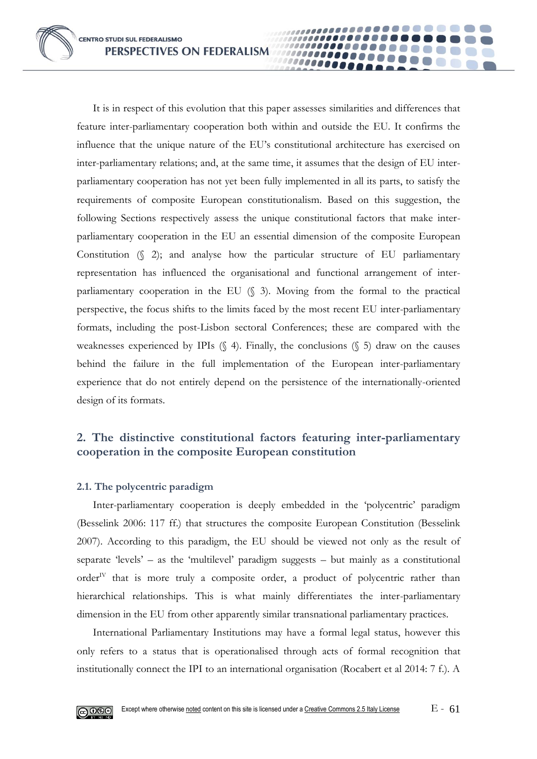It is in respect of this evolution that this paper assesses similarities and differences that feature inter-parliamentary cooperation both within and outside the EU. It confirms the influence that the unique nature of the EU's constitutional architecture has exercised on inter-parliamentary relations; and, at the same time, it assumes that the design of EU interparliamentary cooperation has not yet been fully implemented in all its parts, to satisfy the requirements of composite European constitutionalism. Based on this suggestion, the following Sections respectively assess the unique constitutional factors that make interparliamentary cooperation in the EU an essential dimension of the composite European Constitution  $(\S 2)$ ; and analyse how the particular structure of EU parliamentary representation has influenced the organisational and functional arrangement of interparliamentary cooperation in the EU (§ 3). Moving from the formal to the practical perspective, the focus shifts to the limits faced by the most recent EU inter-parliamentary formats, including the post-Lisbon sectoral Conferences; these are compared with the weaknesses experienced by IPIs  $(\zeta, 4)$ . Finally, the conclusions  $(\zeta, 5)$  draw on the causes behind the failure in the full implementation of the European inter-parliamentary experience that do not entirely depend on the persistence of the internationally-oriented design of its formats.

00000

## **2. The distinctive constitutional factors featuring inter-parliamentary cooperation in the composite European constitution**

#### **2.1. The polycentric paradigm**

Inter-parliamentary cooperation is deeply embedded in the 'polycentric' paradigm (Besselink 2006: 117 ff.) that structures the composite European Constitution (Besselink 2007). According to this paradigm, the EU should be viewed not only as the result of separate 'levels' – as the 'multilevel' paradigm suggests – but mainly as a constitutional  $order<sup>N</sup>$  that is more truly a composite order, a product of polycentric rather than hierarchical relationships. This is what mainly differentiates the inter-parliamentary dimension in the EU from other apparently similar transnational parliamentary practices.

International Parliamentary Institutions may have a formal legal status, however this only refers to a status that is operationalised through acts of formal recognition that institutionally connect the IPI to an international organisation (Rocabert et al 2014: 7 f.). A

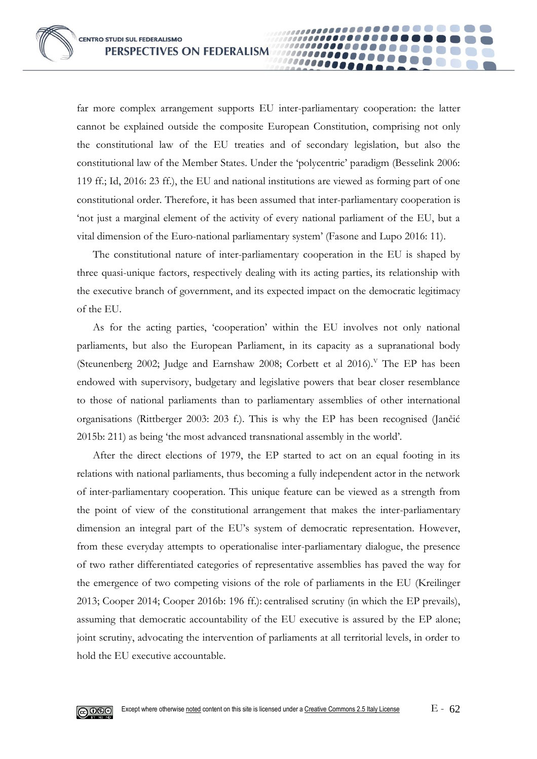far more complex arrangement supports EU inter-parliamentary cooperation: the latter cannot be explained outside the composite European Constitution, comprising not only the constitutional law of the EU treaties and of secondary legislation, but also the constitutional law of the Member States. Under the 'polycentric' paradigm (Besselink 2006: 119 ff.; Id, 2016: 23 ff.), the EU and national institutions are viewed as forming part of one constitutional order. Therefore, it has been assumed that inter-parliamentary cooperation is 'not just a marginal element of the activity of every national parliament of the EU, but a vital dimension of the Euro-national parliamentary system' (Fasone and Lupo 2016: 11).

00000

The constitutional nature of inter-parliamentary cooperation in the EU is shaped by three quasi-unique factors, respectively dealing with its acting parties, its relationship with the executive branch of government, and its expected impact on the democratic legitimacy of the EU.

As for the acting parties, 'cooperation' within the EU involves not only national parliaments, but also the European Parliament, in its capacity as a supranational body (Steunenberg 2002; Judge and Earnshaw 2008; Corbett et al 2016).<sup>V</sup> The EP has been endowed with supervisory, budgetary and legislative powers that bear closer resemblance to those of national parliaments than to parliamentary assemblies of other international organisations (Rittberger 2003: 203 f.). This is why the EP has been recognised (Jančić 2015b: 211) as being 'the most advanced transnational assembly in the world'.

After the direct elections of 1979, the EP started to act on an equal footing in its relations with national parliaments, thus becoming a fully independent actor in the network of inter-parliamentary cooperation. This unique feature can be viewed as a strength from the point of view of the constitutional arrangement that makes the inter-parliamentary dimension an integral part of the EU's system of democratic representation. However, from these everyday attempts to operationalise inter-parliamentary dialogue, the presence of two rather differentiated categories of representative assemblies has paved the way for the emergence of two competing visions of the role of parliaments in the EU (Kreilinger 2013; Cooper 2014; Cooper 2016b: 196 ff.): centralised scrutiny (in which the EP prevails), assuming that democratic accountability of the EU executive is assured by the EP alone; joint scrutiny, advocating the intervention of parliaments at all territorial levels, in order to hold the EU executive accountable.

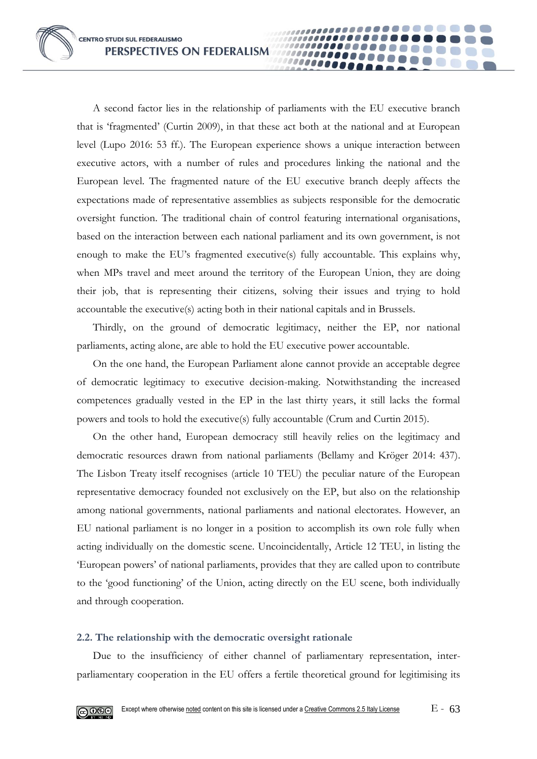A second factor lies in the relationship of parliaments with the EU executive branch that is 'fragmented' (Curtin 2009), in that these act both at the national and at European level (Lupo 2016: 53 ff.). The European experience shows a unique interaction between executive actors, with a number of rules and procedures linking the national and the European level. The fragmented nature of the EU executive branch deeply affects the expectations made of representative assemblies as subjects responsible for the democratic oversight function. The traditional chain of control featuring international organisations, based on the interaction between each national parliament and its own government, is not enough to make the EU's fragmented executive(s) fully accountable. This explains why, when MPs travel and meet around the territory of the European Union, they are doing their job, that is representing their citizens, solving their issues and trying to hold accountable the executive(s) acting both in their national capitals and in Brussels.

**0000** 

Thirdly, on the ground of democratic legitimacy, neither the EP, nor national parliaments, acting alone, are able to hold the EU executive power accountable.

On the one hand, the European Parliament alone cannot provide an acceptable degree of democratic legitimacy to executive decision-making. Notwithstanding the increased competences gradually vested in the EP in the last thirty years, it still lacks the formal powers and tools to hold the executive(s) fully accountable (Crum and Curtin 2015).

On the other hand, European democracy still heavily relies on the legitimacy and democratic resources drawn from national parliaments (Bellamy and Kröger 2014: 437). The Lisbon Treaty itself recognises (article 10 TEU) the peculiar nature of the European representative democracy founded not exclusively on the EP, but also on the relationship among national governments, national parliaments and national electorates. However, an EU national parliament is no longer in a position to accomplish its own role fully when acting individually on the domestic scene. Uncoincidentally, Article 12 TEU, in listing the 'European powers' of national parliaments, provides that they are called upon to contribute to the 'good functioning' of the Union, acting directly on the EU scene, both individually and through cooperation.

#### **2.2. The relationship with the democratic oversight rationale**

Due to the insufficiency of either channel of parliamentary representation, interparliamentary cooperation in the EU offers a fertile theoretical ground for legitimising its

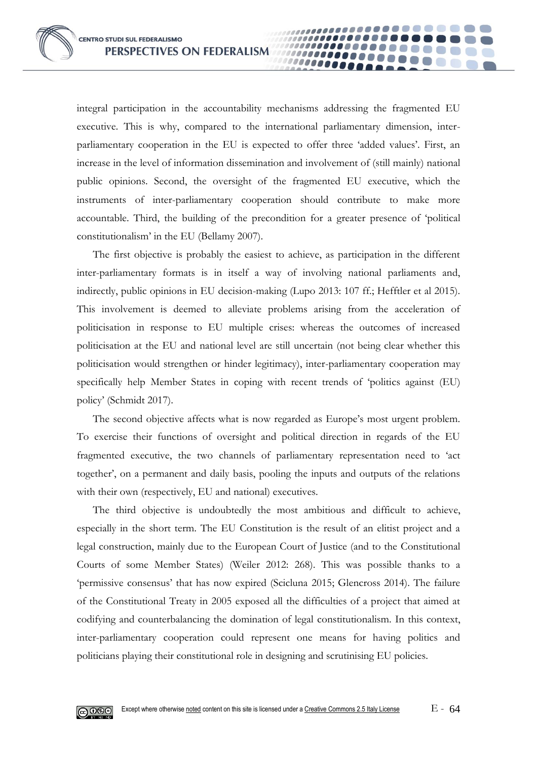integral participation in the accountability mechanisms addressing the fragmented EU executive. This is why, compared to the international parliamentary dimension, interparliamentary cooperation in the EU is expected to offer three 'added values'. First, an increase in the level of information dissemination and involvement of (still mainly) national public opinions. Second, the oversight of the fragmented EU executive, which the instruments of inter-parliamentary cooperation should contribute to make more accountable. Third, the building of the precondition for a greater presence of 'political constitutionalism' in the EU (Bellamy 2007).

00000

The first objective is probably the easiest to achieve, as participation in the different inter-parliamentary formats is in itself a way of involving national parliaments and, indirectly, public opinions in EU decision-making (Lupo 2013: 107 ff.; Hefftler et al 2015). This involvement is deemed to alleviate problems arising from the acceleration of politicisation in response to EU multiple crises: whereas the outcomes of increased politicisation at the EU and national level are still uncertain (not being clear whether this politicisation would strengthen or hinder legitimacy), inter-parliamentary cooperation may specifically help Member States in coping with recent trends of 'politics against (EU) policy' (Schmidt 2017).

The second objective affects what is now regarded as Europe's most urgent problem. To exercise their functions of oversight and political direction in regards of the EU fragmented executive, the two channels of parliamentary representation need to 'act together', on a permanent and daily basis, pooling the inputs and outputs of the relations with their own (respectively, EU and national) executives.

The third objective is undoubtedly the most ambitious and difficult to achieve, especially in the short term. The EU Constitution is the result of an elitist project and a legal construction, mainly due to the European Court of Justice (and to the Constitutional Courts of some Member States) (Weiler 2012: 268). This was possible thanks to a 'permissive consensus' that has now expired (Scicluna 2015; Glencross 2014). The failure of the Constitutional Treaty in 2005 exposed all the difficulties of a project that aimed at codifying and counterbalancing the domination of legal constitutionalism. In this context, inter-parliamentary cooperation could represent one means for having politics and politicians playing their constitutional role in designing and scrutinising EU policies.

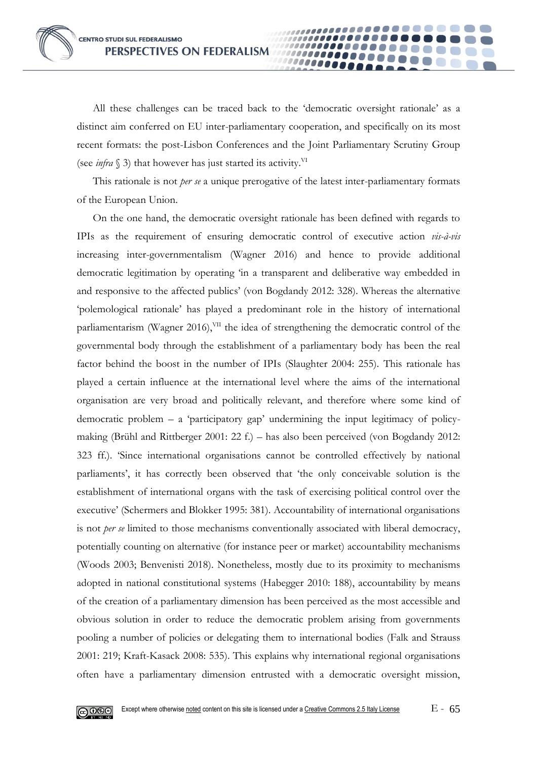All these challenges can be traced back to the 'democratic oversight rationale' as a distinct aim conferred on EU inter-parliamentary cooperation, and specifically on its most recent formats: the post-Lisbon Conferences and the Joint Parliamentary Scrutiny Group (see *infra*  $\S$  3) that however has just started its activity.<sup>VI</sup>

00000

This rationale is not *per se* a unique prerogative of the latest inter-parliamentary formats of the European Union.

On the one hand, the democratic oversight rationale has been defined with regards to IPIs as the requirement of ensuring democratic control of executive action *vis-à-vis* increasing inter-governmentalism (Wagner 2016) and hence to provide additional democratic legitimation by operating 'in a transparent and deliberative way embedded in and responsive to the affected publics' (von Bogdandy 2012: 328). Whereas the alternative 'polemological rationale' has played a predominant role in the history of international parliamentarism (Wagner 2016), VII the idea of strengthening the democratic control of the governmental body through the establishment of a parliamentary body has been the real factor behind the boost in the number of IPIs (Slaughter 2004: 255). This rationale has played a certain influence at the international level where the aims of the international organisation are very broad and politically relevant, and therefore where some kind of democratic problem – a 'participatory gap' undermining the input legitimacy of policymaking (Brühl and Rittberger 2001: 22 f.) – has also been perceived (von Bogdandy 2012: 323 ff.). 'Since international organisations cannot be controlled effectively by national parliaments', it has correctly been observed that 'the only conceivable solution is the establishment of international organs with the task of exercising political control over the executive' (Schermers and Blokker 1995: 381). Accountability of international organisations is not *per se* limited to those mechanisms conventionally associated with liberal democracy, potentially counting on alternative (for instance peer or market) accountability mechanisms (Woods 2003; Benvenisti 2018). Nonetheless, mostly due to its proximity to mechanisms adopted in national constitutional systems (Habegger 2010: 188), accountability by means of the creation of a parliamentary dimension has been perceived as the most accessible and obvious solution in order to reduce the democratic problem arising from governments pooling a number of policies or delegating them to international bodies (Falk and Strauss 2001: 219; Kraft-Kasack 2008: 535). This explains why international regional organisations often have a parliamentary dimension entrusted with a democratic oversight mission,

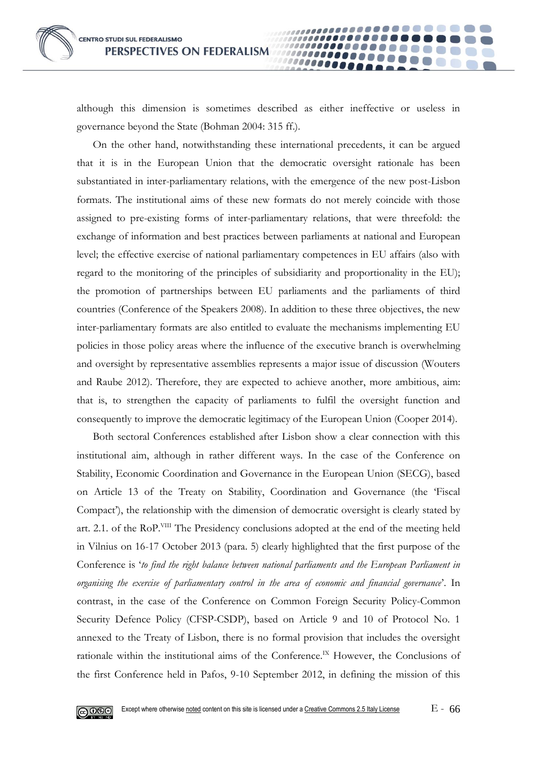

although this dimension is sometimes described as either ineffective or useless in governance beyond the State (Bohman 2004: 315 ff.).

100000001 10000

On the other hand, notwithstanding these international precedents, it can be argued that it is in the European Union that the democratic oversight rationale has been substantiated in inter-parliamentary relations, with the emergence of the new post-Lisbon formats. The institutional aims of these new formats do not merely coincide with those assigned to pre-existing forms of inter-parliamentary relations, that were threefold: the exchange of information and best practices between parliaments at national and European level; the effective exercise of national parliamentary competences in EU affairs (also with regard to the monitoring of the principles of subsidiarity and proportionality in the EU); the promotion of partnerships between EU parliaments and the parliaments of third countries (Conference of the Speakers 2008). In addition to these three objectives, the new inter-parliamentary formats are also entitled to evaluate the mechanisms implementing EU policies in those policy areas where the influence of the executive branch is overwhelming and oversight by representative assemblies represents a major issue of discussion (Wouters and Raube 2012). Therefore, they are expected to achieve another, more ambitious, aim: that is, to strengthen the capacity of parliaments to fulfil the oversight function and consequently to improve the democratic legitimacy of the European Union (Cooper 2014).

Both sectoral Conferences established after Lisbon show a clear connection with this institutional aim, although in rather different ways. In the case of the Conference on Stability, Economic Coordination and Governance in the European Union (SECG), based on Article 13 of the Treaty on Stability, Coordination and Governance (the 'Fiscal Compact'), the relationship with the dimension of democratic oversight is clearly stated by art. 2.1. of the RoP.VIII The Presidency conclusions adopted at the end of the meeting held in Vilnius on 16-17 October 2013 (para. 5) clearly highlighted that the first purpose of the Conference is '*to find the right balance between national parliaments and the European Parliament in organising the exercise of parliamentary control in the area of economic and financial governance*'. In contrast, in the case of the Conference on Common Foreign Security Policy-Common Security Defence Policy (CFSP-CSDP), based on Article 9 and 10 of Protocol No. 1 annexed to the Treaty of Lisbon, there is no formal provision that includes the oversight rationale within the institutional aims of the Conference.<sup>IX</sup> However, the Conclusions of the first Conference held in Pafos, 9-10 September 2012, in defining the mission of this

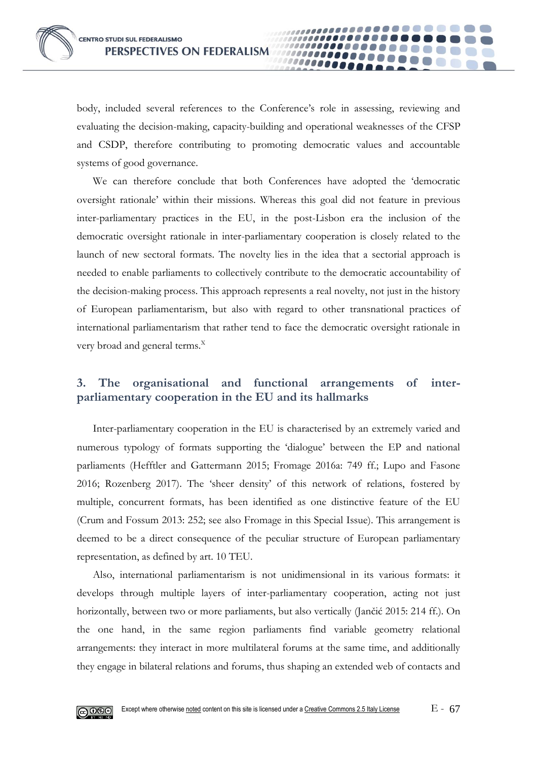body, included several references to the Conference's role in assessing, reviewing and evaluating the decision-making, capacity-building and operational weaknesses of the CFSP and CSDP, therefore contributing to promoting democratic values and accountable systems of good governance.

0000

We can therefore conclude that both Conferences have adopted the 'democratic oversight rationale' within their missions. Whereas this goal did not feature in previous inter-parliamentary practices in the EU, in the post-Lisbon era the inclusion of the democratic oversight rationale in inter-parliamentary cooperation is closely related to the launch of new sectoral formats. The novelty lies in the idea that a sectorial approach is needed to enable parliaments to collectively contribute to the democratic accountability of the decision-making process. This approach represents a real novelty, not just in the history of European parliamentarism, but also with regard to other transnational practices of international parliamentarism that rather tend to face the democratic oversight rationale in very broad and general terms.<sup>X</sup>

## **3. The organisational and functional arrangements of interparliamentary cooperation in the EU and its hallmarks**

Inter-parliamentary cooperation in the EU is characterised by an extremely varied and numerous typology of formats supporting the 'dialogue' between the EP and national parliaments (Hefftler and Gattermann 2015; Fromage 2016a: 749 ff.; Lupo and Fasone 2016; Rozenberg 2017). The 'sheer density' of this network of relations, fostered by multiple, concurrent formats, has been identified as one distinctive feature of the EU (Crum and Fossum 2013: 252; see also Fromage in this Special Issue). This arrangement is deemed to be a direct consequence of the peculiar structure of European parliamentary representation, as defined by art. 10 TEU.

Also, international parliamentarism is not unidimensional in its various formats: it develops through multiple layers of inter-parliamentary cooperation, acting not just horizontally, between two or more parliaments, but also vertically (Jančić 2015: 214 ff.). On the one hand, in the same region parliaments find variable geometry relational arrangements: they interact in more multilateral forums at the same time, and additionally they engage in bilateral relations and forums, thus shaping an extended web of contacts and

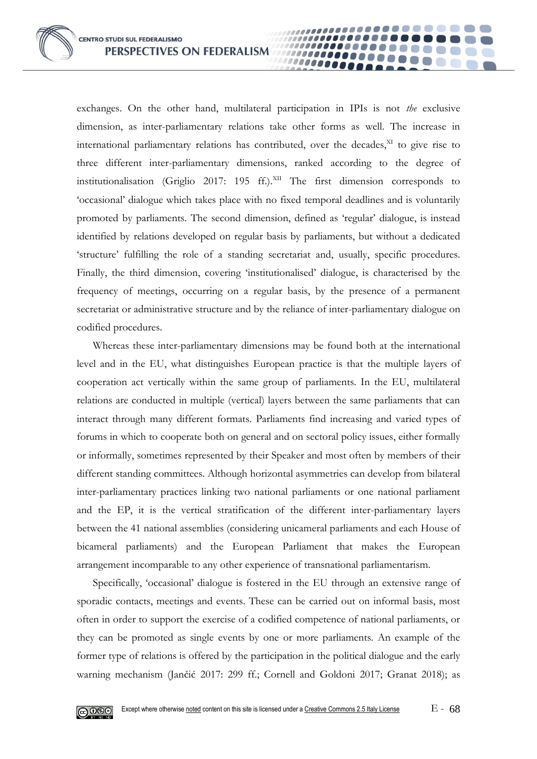exchanges. On the other hand, multilateral participation in IPIs is not *the* exclusive dimension, as inter-parliamentary relations take other forms as well. The increase in international parliamentary relations has contributed, over the decades, $X<sup>T</sup>$  to give rise to three different inter-parliamentary dimensions, ranked according to the degree of institutionalisation (Griglio 2017: 195 ff.).<sup>XII</sup> The first dimension corresponds to 'occasional' dialogue which takes place with no fixed temporal deadlines and is voluntarily promoted by parliaments. The second dimension, defined as 'regular' dialogue, is instead identified by relations developed on regular basis by parliaments, but without a dedicated 'structure' fulfilling the role of a standing secretariat and, usually, specific procedures. Finally, the third dimension, covering 'institutionalised' dialogue, is characterised by the frequency of meetings, occurring on a regular basis, by the presence of a permanent secretariat or administrative structure and by the reliance of inter-parliamentary dialogue on codified procedures.

00000

Whereas these inter-parliamentary dimensions may be found both at the international level and in the EU, what distinguishes European practice is that the multiple layers of cooperation act vertically within the same group of parliaments. In the EU, multilateral relations are conducted in multiple (vertical) layers between the same parliaments that can interact through many different formats. Parliaments find increasing and varied types of forums in which to cooperate both on general and on sectoral policy issues, either formally or informally, sometimes represented by their Speaker and most often by members of their different standing committees. Although horizontal asymmetries can develop from bilateral inter-parliamentary practices linking two national parliaments or one national parliament and the EP, it is the vertical stratification of the different inter-parliamentary layers between the 41 national assemblies (considering unicameral parliaments and each House of bicameral parliaments) and the European Parliament that makes the European arrangement incomparable to any other experience of transnational parliamentarism.

Specifically, 'occasional' dialogue is fostered in the EU through an extensive range of sporadic contacts, meetings and events. These can be carried out on informal basis, most often in order to support the exercise of a codified competence of national parliaments, or they can be promoted as single events by one or more parliaments. An example of the former type of relations is offered by the participation in the political dialogue and the early warning mechanism (Jančić 2017: 299 ff.; Cornell and Goldoni 2017; Granat 2018); as

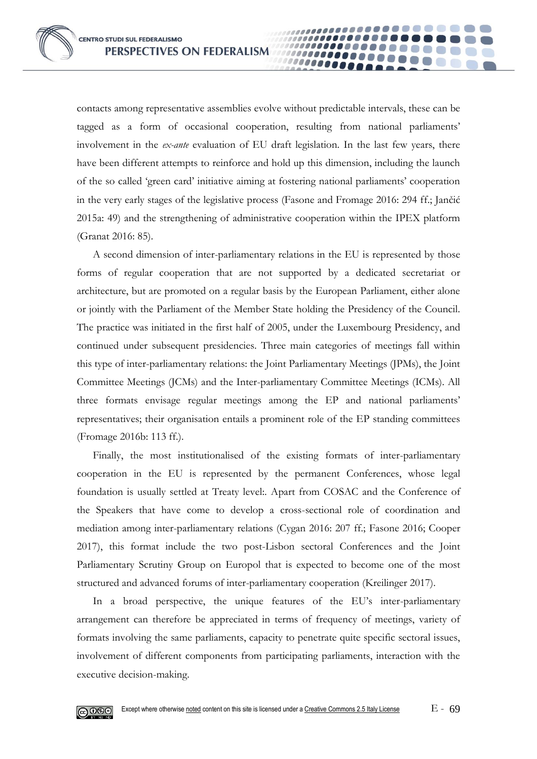contacts among representative assemblies evolve without predictable intervals, these can be tagged as a form of occasional cooperation, resulting from national parliaments' involvement in the *ex-ante* evaluation of EU draft legislation. In the last few years, there have been different attempts to reinforce and hold up this dimension, including the launch of the so called 'green card' initiative aiming at fostering national parliaments' cooperation in the very early stages of the legislative process (Fasone and Fromage 2016: 294 ff.; Jančić 2015a: 49) and the strengthening of administrative cooperation within the IPEX platform (Granat 2016: 85).

......... 10000

A second dimension of inter-parliamentary relations in the EU is represented by those forms of regular cooperation that are not supported by a dedicated secretariat or architecture, but are promoted on a regular basis by the European Parliament, either alone or jointly with the Parliament of the Member State holding the Presidency of the Council. The practice was initiated in the first half of 2005, under the Luxembourg Presidency, and continued under subsequent presidencies. Three main categories of meetings fall within this type of inter-parliamentary relations: the Joint Parliamentary Meetings (JPMs), the Joint Committee Meetings (JCMs) and the Inter-parliamentary Committee Meetings (ICMs). All three formats envisage regular meetings among the EP and national parliaments' representatives; their organisation entails a prominent role of the EP standing committees (Fromage 2016b: 113 ff.).

Finally, the most institutionalised of the existing formats of inter-parliamentary cooperation in the EU is represented by the permanent Conferences, whose legal foundation is usually settled at Treaty level:. Apart from COSAC and the Conference of the Speakers that have come to develop a cross-sectional role of coordination and mediation among inter-parliamentary relations (Cygan 2016: 207 ff.; Fasone 2016; Cooper 2017), this format include the two post-Lisbon sectoral Conferences and the Joint Parliamentary Scrutiny Group on Europol that is expected to become one of the most structured and advanced forums of inter-parliamentary cooperation (Kreilinger 2017).

In a broad perspective, the unique features of the EU's inter-parliamentary arrangement can therefore be appreciated in terms of frequency of meetings, variety of formats involving the same parliaments, capacity to penetrate quite specific sectoral issues, involvement of different components from participating parliaments, interaction with the executive decision-making.

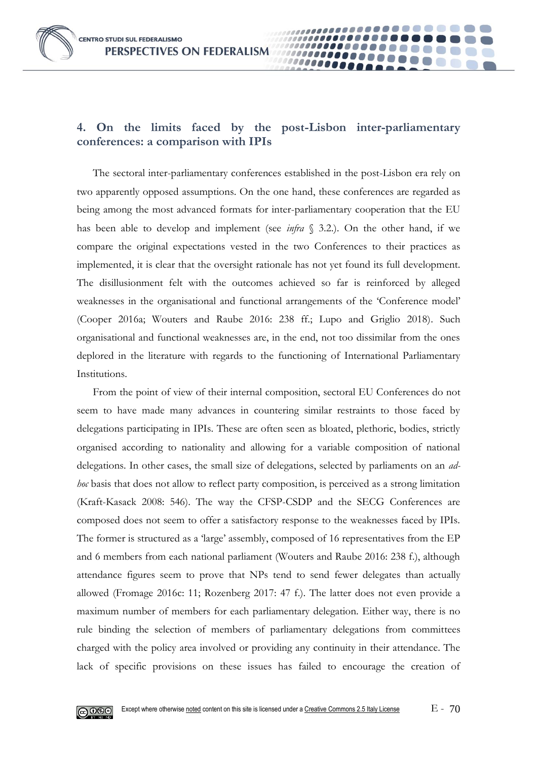**CENTRO STUDI SUL FEDERALISMO** PERSPECTIVES ON FEDERALISM

### **4. On the limits faced by the post-Lisbon inter-parliamentary conferences: a comparison with IPIs**

......... 10000

The sectoral inter-parliamentary conferences established in the post-Lisbon era rely on two apparently opposed assumptions. On the one hand, these conferences are regarded as being among the most advanced formats for inter-parliamentary cooperation that the EU has been able to develop and implement (see *infra* § 3.2.). On the other hand, if we compare the original expectations vested in the two Conferences to their practices as implemented, it is clear that the oversight rationale has not yet found its full development. The disillusionment felt with the outcomes achieved so far is reinforced by alleged weaknesses in the organisational and functional arrangements of the 'Conference model' (Cooper 2016a; Wouters and Raube 2016: 238 ff.; Lupo and Griglio 2018). Such organisational and functional weaknesses are, in the end, not too dissimilar from the ones deplored in the literature with regards to the functioning of International Parliamentary Institutions.

From the point of view of their internal composition, sectoral EU Conferences do not seem to have made many advances in countering similar restraints to those faced by delegations participating in IPIs. These are often seen as bloated, plethoric, bodies, strictly organised according to nationality and allowing for a variable composition of national delegations. In other cases, the small size of delegations, selected by parliaments on an *adhoc* basis that does not allow to reflect party composition, is perceived as a strong limitation (Kraft-Kasack 2008: 546). The way the CFSP-CSDP and the SECG Conferences are composed does not seem to offer a satisfactory response to the weaknesses faced by IPIs. The former is structured as a 'large' assembly, composed of 16 representatives from the EP and 6 members from each national parliament (Wouters and Raube 2016: 238 f.), although attendance figures seem to prove that NPs tend to send fewer delegates than actually allowed (Fromage 2016c: 11; Rozenberg 2017: 47 f.). The latter does not even provide a maximum number of members for each parliamentary delegation. Either way, there is no rule binding the selection of members of parliamentary delegations from committees charged with the policy area involved or providing any continuity in their attendance. The lack of specific provisions on these issues has failed to encourage the creation of

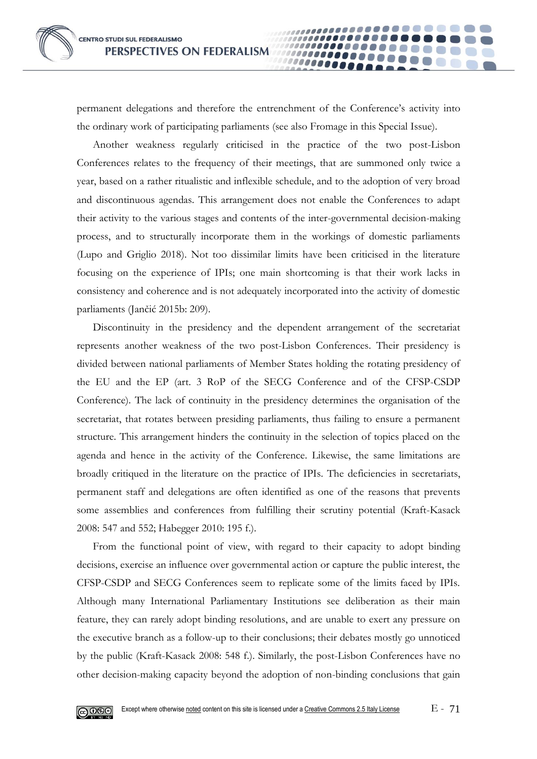permanent delegations and therefore the entrenchment of the Conference's activity into the ordinary work of participating parliaments (see also Fromage in this Special Issue).

**10000** 

Another weakness regularly criticised in the practice of the two post-Lisbon Conferences relates to the frequency of their meetings, that are summoned only twice a year, based on a rather ritualistic and inflexible schedule, and to the adoption of very broad and discontinuous agendas. This arrangement does not enable the Conferences to adapt their activity to the various stages and contents of the inter-governmental decision-making process, and to structurally incorporate them in the workings of domestic parliaments (Lupo and Griglio 2018). Not too dissimilar limits have been criticised in the literature focusing on the experience of IPIs; one main shortcoming is that their work lacks in consistency and coherence and is not adequately incorporated into the activity of domestic parliaments (Jančić 2015b: 209).

Discontinuity in the presidency and the dependent arrangement of the secretariat represents another weakness of the two post-Lisbon Conferences. Their presidency is divided between national parliaments of Member States holding the rotating presidency of the EU and the EP (art. 3 RoP of the SECG Conference and of the CFSP-CSDP Conference). The lack of continuity in the presidency determines the organisation of the secretariat, that rotates between presiding parliaments, thus failing to ensure a permanent structure. This arrangement hinders the continuity in the selection of topics placed on the agenda and hence in the activity of the Conference. Likewise, the same limitations are broadly critiqued in the literature on the practice of IPIs. The deficiencies in secretariats, permanent staff and delegations are often identified as one of the reasons that prevents some assemblies and conferences from fulfilling their scrutiny potential (Kraft-Kasack 2008: 547 and 552; Habegger 2010: 195 f.).

From the functional point of view, with regard to their capacity to adopt binding decisions, exercise an influence over governmental action or capture the public interest, the CFSP-CSDP and SECG Conferences seem to replicate some of the limits faced by IPIs. Although many International Parliamentary Institutions see deliberation as their main feature, they can rarely adopt binding resolutions, and are unable to exert any pressure on the executive branch as a follow-up to their conclusions; their debates mostly go unnoticed by the public (Kraft-Kasack 2008: 548 f.). Similarly, the post-Lisbon Conferences have no other decision-making capacity beyond the adoption of non-binding conclusions that gain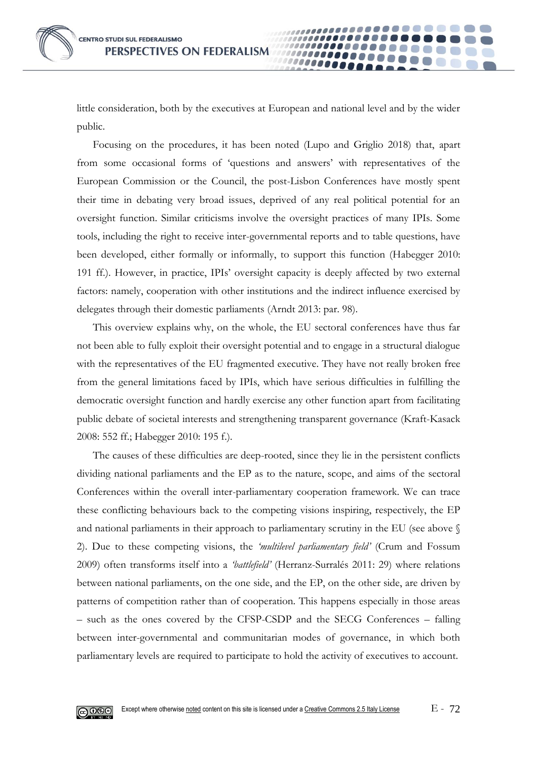little consideration, both by the executives at European and national level and by the wider public.

00000

Focusing on the procedures, it has been noted (Lupo and Griglio 2018) that, apart from some occasional forms of 'questions and answers' with representatives of the European Commission or the Council, the post-Lisbon Conferences have mostly spent their time in debating very broad issues, deprived of any real political potential for an oversight function. Similar criticisms involve the oversight practices of many IPIs. Some tools, including the right to receive inter-governmental reports and to table questions, have been developed, either formally or informally, to support this function (Habegger 2010: 191 ff.). However, in practice, IPIs' oversight capacity is deeply affected by two external factors: namely, cooperation with other institutions and the indirect influence exercised by delegates through their domestic parliaments (Arndt 2013: par. 98).

This overview explains why, on the whole, the EU sectoral conferences have thus far not been able to fully exploit their oversight potential and to engage in a structural dialogue with the representatives of the EU fragmented executive. They have not really broken free from the general limitations faced by IPIs, which have serious difficulties in fulfilling the democratic oversight function and hardly exercise any other function apart from facilitating public debate of societal interests and strengthening transparent governance (Kraft-Kasack 2008: 552 ff.; Habegger 2010: 195 f.).

The causes of these difficulties are deep-rooted, since they lie in the persistent conflicts dividing national parliaments and the EP as to the nature, scope, and aims of the sectoral Conferences within the overall inter-parliamentary cooperation framework. We can trace these conflicting behaviours back to the competing visions inspiring, respectively, the EP and national parliaments in their approach to parliamentary scrutiny in the EU (see above § 2). Due to these competing visions, the *'multilevel parliamentary field'* (Crum and Fossum 2009) often transforms itself into a *'battlefield'* (Herranz-Surralés 2011: 29) where relations between national parliaments, on the one side, and the EP, on the other side, are driven by patterns of competition rather than of cooperation. This happens especially in those areas – such as the ones covered by the CFSP-CSDP and the SECG Conferences – falling between inter-governmental and communitarian modes of governance, in which both parliamentary levels are required to participate to hold the activity of executives to account.

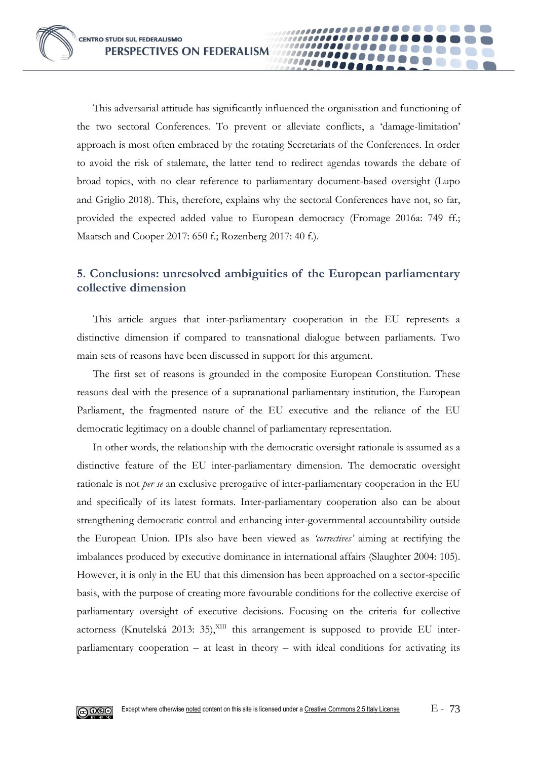This adversarial attitude has significantly influenced the organisation and functioning of the two sectoral Conferences. To prevent or alleviate conflicts, a 'damage-limitation' approach is most often embraced by the rotating Secretariats of the Conferences. In order to avoid the risk of stalemate, the latter tend to redirect agendas towards the debate of broad topics, with no clear reference to parliamentary document-based oversight (Lupo and Griglio 2018). This, therefore, explains why the sectoral Conferences have not, so far, provided the expected added value to European democracy (Fromage 2016a: 749 ff.; Maatsch and Cooper 2017: 650 f.; Rozenberg 2017: 40 f.).

00000

## **5. Conclusions: unresolved ambiguities of the European parliamentary collective dimension**

This article argues that inter-parliamentary cooperation in the EU represents a distinctive dimension if compared to transnational dialogue between parliaments. Two main sets of reasons have been discussed in support for this argument.

The first set of reasons is grounded in the composite European Constitution. These reasons deal with the presence of a supranational parliamentary institution, the European Parliament, the fragmented nature of the EU executive and the reliance of the EU democratic legitimacy on a double channel of parliamentary representation.

In other words, the relationship with the democratic oversight rationale is assumed as a distinctive feature of the EU inter-parliamentary dimension. The democratic oversight rationale is not *per se* an exclusive prerogative of inter-parliamentary cooperation in the EU and specifically of its latest formats. Inter-parliamentary cooperation also can be about strengthening democratic control and enhancing inter-governmental accountability outside the European Union. IPIs also have been viewed as *'correctives'* aiming at rectifying the imbalances produced by executive dominance in international affairs (Slaughter 2004: 105). However, it is only in the EU that this dimension has been approached on a sector-specific basis, with the purpose of creating more favourable conditions for the collective exercise of parliamentary oversight of executive decisions. Focusing on the criteria for collective actorness (Knutelská 2013: 35), XIII this arrangement is supposed to provide EU interparliamentary cooperation – at least in theory – with ideal conditions for activating its

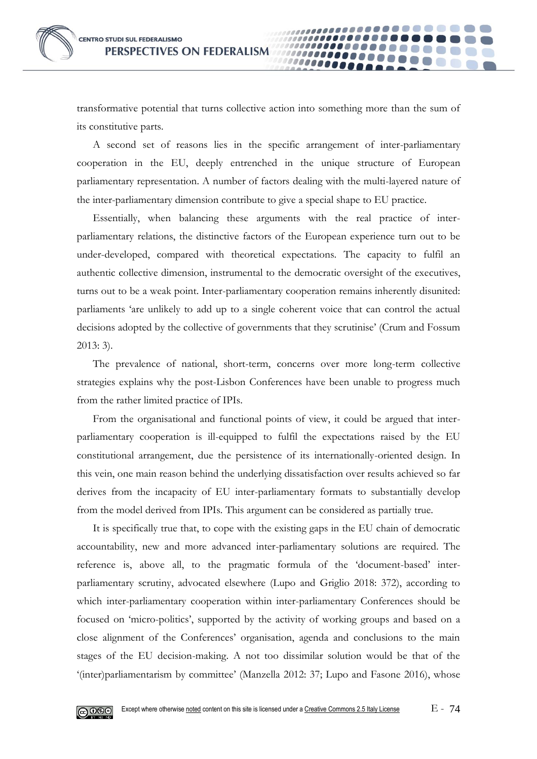transformative potential that turns collective action into something more than the sum of its constitutive parts.

00000

A second set of reasons lies in the specific arrangement of inter-parliamentary cooperation in the EU, deeply entrenched in the unique structure of European parliamentary representation. A number of factors dealing with the multi-layered nature of the inter-parliamentary dimension contribute to give a special shape to EU practice.

Essentially, when balancing these arguments with the real practice of interparliamentary relations, the distinctive factors of the European experience turn out to be under-developed, compared with theoretical expectations. The capacity to fulfil an authentic collective dimension, instrumental to the democratic oversight of the executives, turns out to be a weak point. Inter-parliamentary cooperation remains inherently disunited: parliaments 'are unlikely to add up to a single coherent voice that can control the actual decisions adopted by the collective of governments that they scrutinise' (Crum and Fossum 2013: 3).

The prevalence of national, short-term, concerns over more long-term collective strategies explains why the post-Lisbon Conferences have been unable to progress much from the rather limited practice of IPIs.

From the organisational and functional points of view, it could be argued that interparliamentary cooperation is ill-equipped to fulfil the expectations raised by the EU constitutional arrangement, due the persistence of its internationally-oriented design. In this vein, one main reason behind the underlying dissatisfaction over results achieved so far derives from the incapacity of EU inter-parliamentary formats to substantially develop from the model derived from IPIs. This argument can be considered as partially true.

It is specifically true that, to cope with the existing gaps in the EU chain of democratic accountability, new and more advanced inter-parliamentary solutions are required. The reference is, above all, to the pragmatic formula of the 'document-based' interparliamentary scrutiny, advocated elsewhere (Lupo and Griglio 2018: 372), according to which inter-parliamentary cooperation within inter-parliamentary Conferences should be focused on 'micro-politics', supported by the activity of working groups and based on a close alignment of the Conferences' organisation, agenda and conclusions to the main stages of the EU decision-making. A not too dissimilar solution would be that of the '(inter)parliamentarism by committee' (Manzella 2012: 37; Lupo and Fasone 2016), whose

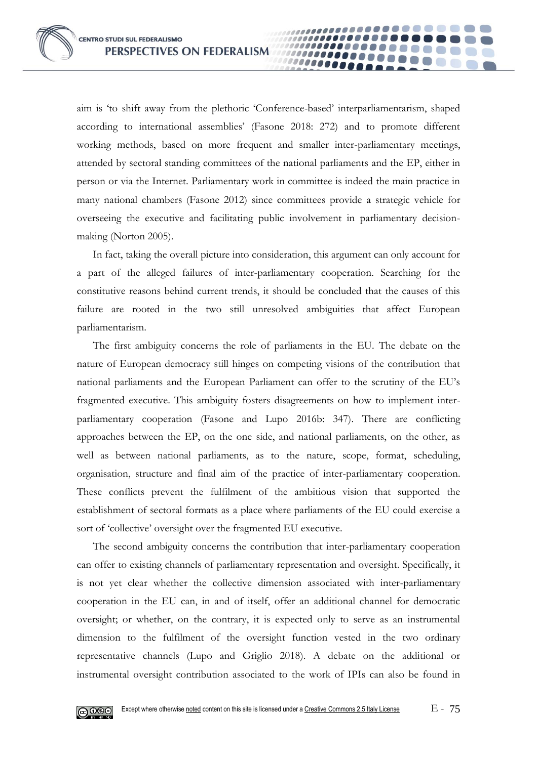aim is 'to shift away from the plethoric 'Conference-based' interparliamentarism, shaped according to international assemblies' (Fasone 2018: 272) and to promote different working methods, based on more frequent and smaller inter-parliamentary meetings, attended by sectoral standing committees of the national parliaments and the EP, either in person or via the Internet. Parliamentary work in committee is indeed the main practice in many national chambers (Fasone 2012) since committees provide a strategic vehicle for overseeing the executive and facilitating public involvement in parliamentary decisionmaking (Norton 2005).

00000

In fact, taking the overall picture into consideration, this argument can only account for a part of the alleged failures of inter-parliamentary cooperation. Searching for the constitutive reasons behind current trends, it should be concluded that the causes of this failure are rooted in the two still unresolved ambiguities that affect European parliamentarism.

The first ambiguity concerns the role of parliaments in the EU. The debate on the nature of European democracy still hinges on competing visions of the contribution that national parliaments and the European Parliament can offer to the scrutiny of the EU's fragmented executive. This ambiguity fosters disagreements on how to implement interparliamentary cooperation (Fasone and Lupo 2016b: 347). There are conflicting approaches between the EP, on the one side, and national parliaments, on the other, as well as between national parliaments, as to the nature, scope, format, scheduling, organisation, structure and final aim of the practice of inter-parliamentary cooperation. These conflicts prevent the fulfilment of the ambitious vision that supported the establishment of sectoral formats as a place where parliaments of the EU could exercise a sort of 'collective' oversight over the fragmented EU executive.

The second ambiguity concerns the contribution that inter-parliamentary cooperation can offer to existing channels of parliamentary representation and oversight. Specifically, it is not yet clear whether the collective dimension associated with inter-parliamentary cooperation in the EU can, in and of itself, offer an additional channel for democratic oversight; or whether, on the contrary, it is expected only to serve as an instrumental dimension to the fulfilment of the oversight function vested in the two ordinary representative channels (Lupo and Griglio 2018). A debate on the additional or instrumental oversight contribution associated to the work of IPIs can also be found in

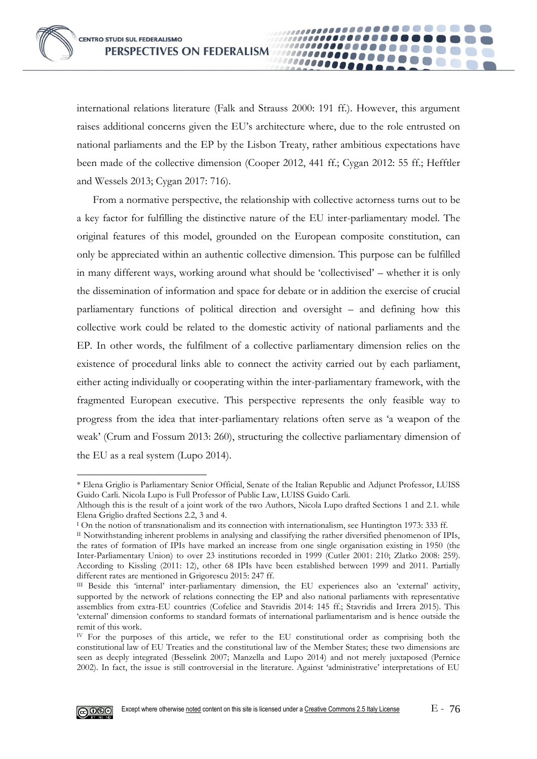international relations literature (Falk and Strauss 2000: 191 ff.). However, this argument raises additional concerns given the EU's architecture where, due to the role entrusted on national parliaments and the EP by the Lisbon Treaty, rather ambitious expectations have been made of the collective dimension (Cooper 2012, 441 ff.; Cygan 2012: 55 ff.; Hefftler and Wessels 2013; Cygan 2017: 716).

,,,,,,,,,,,,,,,,,,,,,,,

,,,,,,,,,,,,,,,,,,,,,,

................. ................

1000000000

From a normative perspective, the relationship with collective actorness turns out to be a key factor for fulfilling the distinctive nature of the EU inter-parliamentary model. The original features of this model, grounded on the European composite constitution, can only be appreciated within an authentic collective dimension. This purpose can be fulfilled in many different ways, working around what should be 'collectivised' – whether it is only the dissemination of information and space for debate or in addition the exercise of crucial parliamentary functions of political direction and oversight – and defining how this collective work could be related to the domestic activity of national parliaments and the EP. In other words, the fulfilment of a collective parliamentary dimension relies on the existence of procedural links able to connect the activity carried out by each parliament, either acting individually or cooperating within the inter-parliamentary framework, with the fragmented European executive. This perspective represents the only feasible way to progress from the idea that inter-parliamentary relations often serve as 'a weapon of the weak' (Crum and Fossum 2013: 260), structuring the collective parliamentary dimension of the EU as a real system (Lupo 2014).

IV For the purposes of this article, we refer to the EU constitutional order as comprising both the constitutional law of EU Treaties and the constitutional law of the Member States; these two dimensions are seen as deeply integrated (Besselink 2007; Manzella and Lupo 2014) and not merely juxtaposed (Pernice 2002). In fact, the issue is still controversial in the literature. Against 'administrative' interpretations of EU



<sup>&</sup>lt;u>.</u> \* Elena Griglio is Parliamentary Senior Official, Senate of the Italian Republic and Adjunct Professor, LUISS Guido Carli. Nicola Lupo is Full Professor of Public Law, LUISS Guido Carli.

Although this is the result of a joint work of the two Authors, Nicola Lupo drafted Sections 1 and 2.1. while Elena Griglio drafted Sections 2.2, 3 and 4.

<sup>&</sup>lt;sup>I</sup> On the notion of transnationalism and its connection with internationalism, see Huntington 1973: 333 ff.

II Notwithstanding inherent problems in analysing and classifying the rather diversified phenomenon of IPIs, the rates of formation of IPIs have marked an increase from one single organisation existing in 1950 (the Inter-Parliamentary Union) to over 23 institutions recorded in 1999 (Cutler 2001: 210; Zlatko 2008: 259). According to Kissling (2011: 12), other 68 IPIs have been established between 1999 and 2011. Partially different rates are mentioned in Grigorescu 2015: 247 ff.

III Beside this 'internal' inter-parliamentary dimension, the EU experiences also an 'external' activity, supported by the network of relations connecting the EP and also national parliaments with representative assemblies from extra-EU countries (Cofelice and Stavridis 2014: 145 ff.; Stavridis and Irrera 2015). This 'external' dimension conforms to standard formats of international parliamentarism and is hence outside the remit of this work.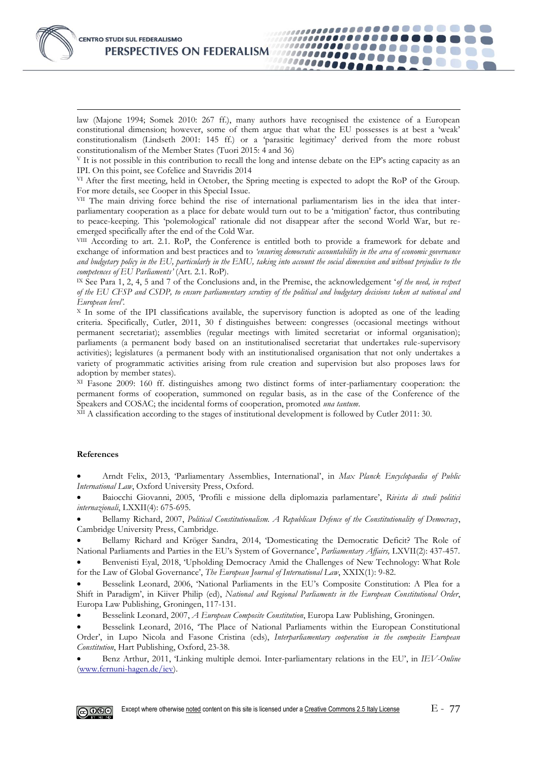law (Majone 1994; Somek 2010: 267 ff.), many authors have recognised the existence of a European constitutional dimension; however, some of them argue that what the EU possesses is at best a 'weak' constitutionalism (Lindseth 2001: 145 ff.) or a 'parasitic legitimacy' derived from the more robust constitutionalism of the Member States (Tuori 2015: 4 and 36)

...................

*\*\*\*\*\*\*\*\*\** 

000000000

,,,,,,,,,,,,,,,,

1111111111111000

<sup>V</sup> It is not possible in this contribution to recall the long and intense debate on the EP's acting capacity as an IPI. On this point, see Cofelice and Stavridis 2014

VI After the first meeting, held in October, the Spring meeting is expected to adopt the RoP of the Group. For more details, see Cooper in this Special Issue.

VII The main driving force behind the rise of international parliamentarism lies in the idea that interparliamentary cooperation as a place for debate would turn out to be a 'mitigation' factor, thus contributing to peace-keeping. This 'polemological' rationale did not disappear after the second World War, but reemerged specifically after the end of the Cold War.

VIII According to art. 2.1. RoP, the Conference is entitled both to provide a framework for debate and exchange of information and best practices and to *'ensuring democratic accountability in the area of economic governance* and budgetary policy in the EU, particularly in the EMU, taking into account the social dimension and without prejudice to the *competences of EU Parliaments'* (Art. 2.1. RoP).

IX See Para 1, 2, 4, 5 and 7 of the Conclusions and, in the Premise, the acknowledgement '*of the need, in respect of the EU CFSP and CSDP, to ensure parliamentary scrutiny of the political and budgetary decisions taken at national and European level'.*

<sup>X</sup> In some of the IPI classifications available, the supervisory function is adopted as one of the leading criteria. Specifically, Cutler, 2011, 30 f distinguishes between: congresses (occasional meetings without permanent secretariat); assemblies (regular meetings with limited secretariat or informal organisation); parliaments (a permanent body based on an institutionalised secretariat that undertakes rule-supervisory activities); legislatures (a permanent body with an institutionalised organisation that not only undertakes a variety of programmatic activities arising from rule creation and supervision but also proposes laws for adoption by member states).

XI Fasone 2009: 160 ff. distinguishes among two distinct forms of inter-parliamentary cooperation: the permanent forms of cooperation, summoned on regular basis, as in the case of the Conference of the Speakers and COSAC; the incidental forms of cooperation, promoted *una tantum*.

XII A classification according to the stages of institutional development is followed by Cutler 2011: 30.

#### **References**

-

• Arndt Felix, 2013, 'Parliamentary Assemblies, International', in *Max Planck Encyclopaedia of Public International Law*, Oxford University Press, Oxford.

• Baiocchi Giovanni, 2005, 'Profili e missione della diplomazia parlamentare', *Rivista di studi politici internazionali*, LXXII(4): 675-695.

• Bellamy Richard, 2007, *Political Constitutionalism. A Republican Defence of the Constitutionality of Democracy*, Cambridge University Press, Cambridge.

• Bellamy Richard and Kröger Sandra, 2014, 'Domesticating the Democratic Deficit? The Role of National Parliaments and Parties in the EU's System of Governance', *Parliamentary Affairs,* LXVII(2): 437-457.

• Benvenisti Eyal, 2018, 'Upholding Democracy Amid the Challenges of New Technology: What Role for the Law of Global Governance', *The European Journal of International Law*, XXIX(1): 9-82.

• Besselink Leonard, 2006, 'National Parliaments in the EU's Composite Constitution: A Plea for a Shift in Paradigm', in Kiiver Philip (ed), *National and Regional Parliaments in the European Constitutional Order*, Europa Law Publishing, Groningen, 117-131.

• Besselink Leonard, 2007, *A European Composite Constitution*, Europa Law Publishing, Groningen.

• Besselink Leonard, 2016, 'The Place of National Parliaments within the European Constitutional Order', in Lupo Nicola and Fasone Cristina (eds), *Interparliamentary cooperation in the composite European Constitution*, Hart Publishing, Oxford, 23-38.

• Benz Arthur, 2011, 'Linking multiple demoi. Inter-parliamentary relations in the EU', in *IEV-Online* [\(www.fernuni-hagen.de/iev\)](http://www.fernuni-hagen.de/iev).

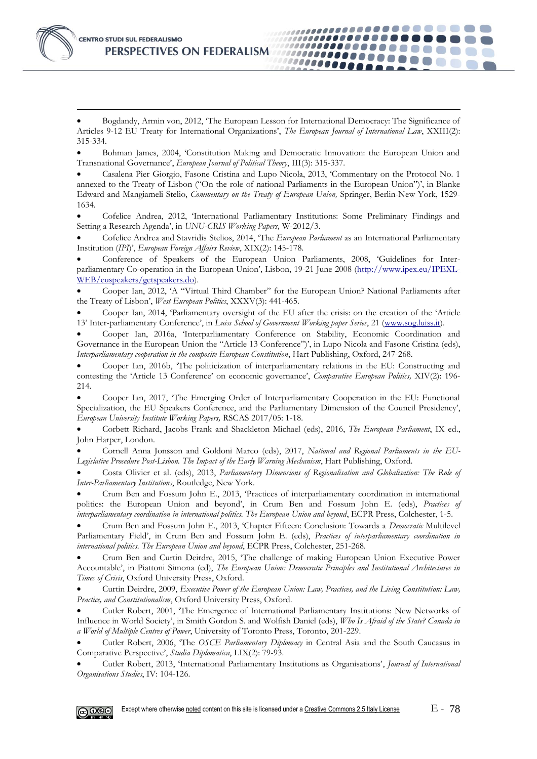

• Bogdandy, Armin von, 2012, 'The European Lesson for International Democracy: The Significance of Articles 9-12 EU Treaty for International Organizations', *The European Journal of International Law*, XXIII(2): 315-334.

,,,,,,,,,,,,,,,,,,,,,,

,,,,,,,,,,,,,,

1111111111111000

.........

000000000

• Bohman James, 2004, 'Constitution Making and Democratic Innovation: the European Union and Transnational Governance', *European Journal of Political Theory*, III(3): 315-337.

• Casalena Pier Giorgio, Fasone Cristina and Lupo Nicola, 2013, 'Commentary on the Protocol No. 1 annexed to the Treaty of Lisbon ("On the role of national Parliaments in the European Union")', in Blanke Edward and Mangiameli Stelio, *Commentary on the Treaty of European Union,* Springer, Berlin-New York, 1529- 1634.

• Cofelice Andrea, 2012, 'International Parliamentary Institutions: Some Preliminary Findings and Setting a Research Agenda', in *UNU-CRIS Working Papers,* W-2012/3.

• Cofelice Andrea and Stavridis Stelios, 2014, 'The *European Parliament* as an International Parliamentary Institution (*IPI*)', *European Foreign Affairs Review*, XIX(2): 145-178.

• Conference of Speakers of the European Union Parliaments, 2008, 'Guidelines for Inter-parliamentary Co-operation in the European Union', Lisbon, 19-21 June 2008 [\(http://www.ipex.eu/IPEXL-](http://www.ipex.eu/IPEXL-WEB/euspeakers/getspeakers.do)[WEB/euspeakers/getspeakers.do\)](http://www.ipex.eu/IPEXL-WEB/euspeakers/getspeakers.do).

• Cooper Ian, 2012, 'A "Virtual Third Chamber" for the European Union? National Parliaments after the Treaty of Lisbon', *West European Politics*, XXXV(3): 441-465.

• Cooper Ian, 2014, 'Parliamentary oversight of the EU after the crisis: on the creation of the 'Article 13' Inter-parliamentary Conference', in *Luiss School of Government Working paper Series*, 21 [\(www.sog.luiss.it\)](http://www.sog.luiss.it/).

• Cooper Ian, 2016a, 'Interparliamentary Conference on Stability, Economic Coordination and Governance in the European Union the "Article 13 Conference")', in Lupo Nicola and Fasone Cristina (eds), *Interparliamentary cooperation in the composite European Constitution*, Hart Publishing, Oxford, 247-268.

• Cooper Ian, 2016b, 'The politicization of interparliamentary relations in the EU: Constructing and contesting the 'Article 13 Conference' on economic governance', *Comparative European Politics,* XIV(2): 196- 214.

• Cooper Ian, 2017, 'The Emerging Order of Interparliamentary Cooperation in the EU: Functional Specialization, the EU Speakers Conference, and the Parliamentary Dimension of the Council Presidency', *European University Institute Working Papers,* RSCAS 2017/05: 1-18.

• Corbett Richard, Jacobs Frank and Shackleton Michael (eds), 2016, *The European Parliament*, IX ed., John Harper, London.

• Cornell Anna Jonsson and Goldoni Marco (eds), 2017, *National and Regional Parliaments in the EU-Legislative Procedure Post-Lisbon. The Impact of the Early Warning Mechanism*, Hart Publishing, Oxford.

• Costa Olivier et al. (eds), 2013, *Parliamentary Dimensions of Regionalisation and Globalisation: The Role of Inter-Parliamentary Institutions*, Routledge, New York.

• Crum Ben and Fossum John E., 2013, 'Practices of interparliamentary coordination in international politics: the European Union and beyond', in Crum Ben and Fossum John E. (eds), *Practices of interparliamentary coordination in international politics. The European Union and beyond*, ECPR Press, Colchester, 1-5.

• Crum Ben and Fossum John E., 2013, 'Chapter Fifteen: Conclusion: Towards a *Democratic* Multilevel Parliamentary Field', in Crum Ben and Fossum John E. (eds), *Practices of interparliamentary coordination in international politics. The European Union and beyond*, ECPR Press, Colchester, 251-268.

• Crum Ben and Curtin Deirdre, 2015, 'The challenge of making European Union Executive Power Accountable', in Piattoni Simona (ed), *The European Union: Democratic Principles and Institutional Architectures in Times of Crisis*, Oxford University Press, Oxford.

• Curtin Deirdre, 2009, *Executive Power of the European Union: Law, Practices, and the Living Constitution: Law, Practice, and Constitutionalism*, Oxford University Press, Oxford.

• Cutler Robert, 2001, 'The Emergence of International Parliamentary Institutions: New Networks of Influence in World Society', in Smith Gordon S. and Wolfish Daniel (eds), *Who Is Afraid of the State? Canada in a World of Multiple Centres of Power*, University of Toronto Press, Toronto, 201-229.

• Cutler Robert, 2006, 'The *OSCE Parliamentary Diplomacy* in Central Asia and the South Caucasus in Comparative Perspective', *Studia Diplomatica*, LIX(2): 79-93.

• Cutler Robert, 2013, 'International Parliamentary Institutions as Organisations', *Journal of International Organisations Studies*, IV: 104-126.

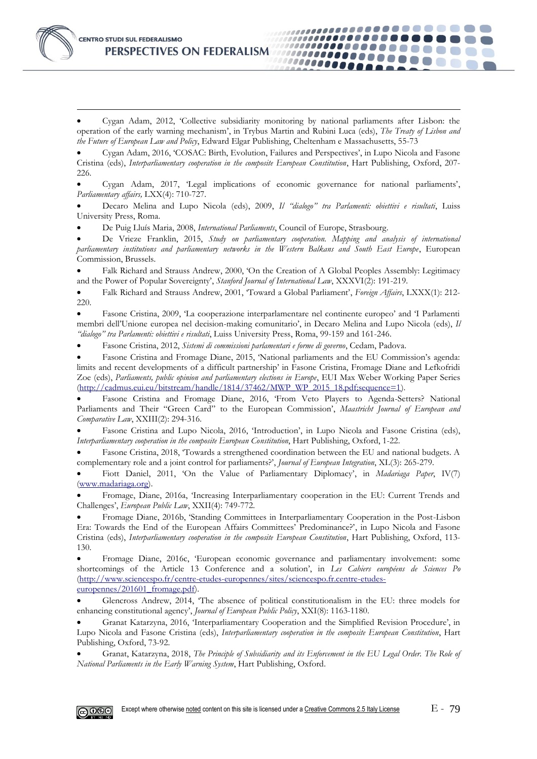

• Cygan Adam, 2012, 'Collective subsidiarity monitoring by national parliaments after Lisbon: the operation of the early warning mechanism', in Trybus Martin and Rubini Luca (eds), *The Treaty of Lisbon and the Future of European Law and Policy*, Edward Elgar Publishing, Cheltenham e Massachusetts, 55-73

,,,,,,,,,,,,,,,,,,,,,,,

..........

00000000

,,,,,,,,,,,,,,

1111111111111111

• Cygan Adam, 2016, 'COSAC: Birth, Evolution, Failures and Perspectives', in Lupo Nicola and Fasone Cristina (eds), *Interparliamentary cooperation in the composite European Constitution*, Hart Publishing, Oxford, 207- 226.

• Cygan Adam, 2017, 'Legal implications of economic governance for national parliaments', *Parliamentary affairs,* LXX(4): 710-727.

• Decaro Melina and Lupo Nicola (eds), 2009, *Il "dialogo" tra Parlamenti: obiettivi e risultati*, Luiss University Press, Roma.

• De Puig Lluís Maria, 2008, *International Parliaments*, Council of Europe, Strasbourg.

• De Vrieze Franklin, 2015, *Study on parliamentary cooperation. Mapping and analysis of international parliamentary institutions and parliamentary networks in the Western Balkans and South East Europe*, European Commission, Brussels.

• Falk Richard and Strauss Andrew, 2000, 'On the Creation of A Global Peoples Assembly: Legitimacy and the Power of Popular Sovereignty', *Stanford Journal of International Law*, XXXVI(2): 191-219.

• Falk Richard and Strauss Andrew, 2001, 'Toward a Global Parliament', *Foreign Affairs*, LXXX(1): 212- 220.

• Fasone Cristina, 2009, 'La cooperazione interparlamentare nel continente europeo' and 'I Parlamenti membri dell'Unione europea nel decision-making comunitario', in Decaro Melina and Lupo Nicola (eds), *Il "dialogo" tra Parlamenti: obiettivi e risultati*, Luiss University Press, Roma, 99-159 and 161-246.

• Fasone Cristina, 2012, *Sistemi di commissioni parlamentari e forme di governo*, Cedam, Padova.

• Fasone Cristina and Fromage Diane, 2015, 'National parliaments and the EU Commission's agenda: limits and recent developments of a difficult partnership' in Fasone Cristina, Fromage Diane and Lefkofridi Zoe (eds), *Parliaments, public opinion and parliamentary elections in Europe*, EUI Max Weber Working Paper Series [\(http://cadmus.eui.eu/bitstream/handle/1814/37462/MWP\\_WP\\_2015\\_18.pdf;sequence=1\)](http://cadmus.eui.eu/bitstream/handle/1814/37462/MWP_WP_2015_18.pdf;sequence=1).

• Fasone Cristina and Fromage Diane, 2016, 'From Veto Players to Agenda-Setters? National Parliaments and Their "Green Card" to the European Commission', *Maastricht Journal of European and Comparative Law*, XXIII(2): 294-316.

• Fasone Cristina and Lupo Nicola, 2016, 'Introduction', in Lupo Nicola and Fasone Cristina (eds), *Interparliamentary cooperation in the composite European Constitution*, Hart Publishing, Oxford, 1-22.

• Fasone Cristina, 2018, 'Towards a strengthened coordination between the EU and national budgets. A complementary role and a joint control for parliaments?', *Journal of European Integration*, XL(3): 265-279.

• Fiott Daniel, 2011, 'On the Value of Parliamentary Diplomacy', in *Madariaga Paper*, IV(7) [\(www.madariaga.org\)](http://www.madariaga.org/).

• Fromage, Diane, 2016a, 'Increasing Interparliamentary cooperation in the EU: Current Trends and Challenges', *European Public Law*, XXII(4): 749-772.

• Fromage Diane, 2016b, 'Standing Committees in Interparliamentary Cooperation in the Post-Lisbon Era: Towards the End of the European Affairs Committees' Predominance?', in Lupo Nicola and Fasone Cristina (eds), *Interparliamentary cooperation in the composite European Constitution*, Hart Publishing, Oxford, 113- 130.

• Fromage Diane, 2016c, 'European economic governance and parliamentary involvement: some shortcomings of the Article 13 Conference and a solution', in *Les Cahiers européens de Sciences Po* [\(http://www.sciencespo.fr/centre-etudes-europennes/sites/sciencespo.fr.centre-etudes](http://www.sciencespo.fr/centre-etudes-europennes/sites/sciencespo.fr.centre-etudes-europennes/201601_fromage.pdf)[europennes/201601\\_fromage.pdf\)](http://www.sciencespo.fr/centre-etudes-europennes/sites/sciencespo.fr.centre-etudes-europennes/201601_fromage.pdf).

• Glencross Andrew, 2014, 'The absence of political constitutionalism in the EU: three models for enhancing constitutional agency', *Journal of European Public Policy*, XXI(8): 1163-1180.

• Granat Katarzyna, 2016, 'Interparliamentary Cooperation and the Simplified Revision Procedure', in Lupo Nicola and Fasone Cristina (eds), *Interparliamentary cooperation in the composite European Constitution*, Hart Publishing, Oxford, 73-92.

• Granat, Katarzyna, 2018, *The Principle of Subsidiarity and its Enforcement in the EU Legal Order. The Role of National Parliaments in the Early Warning System*, Hart Publishing, Oxford.

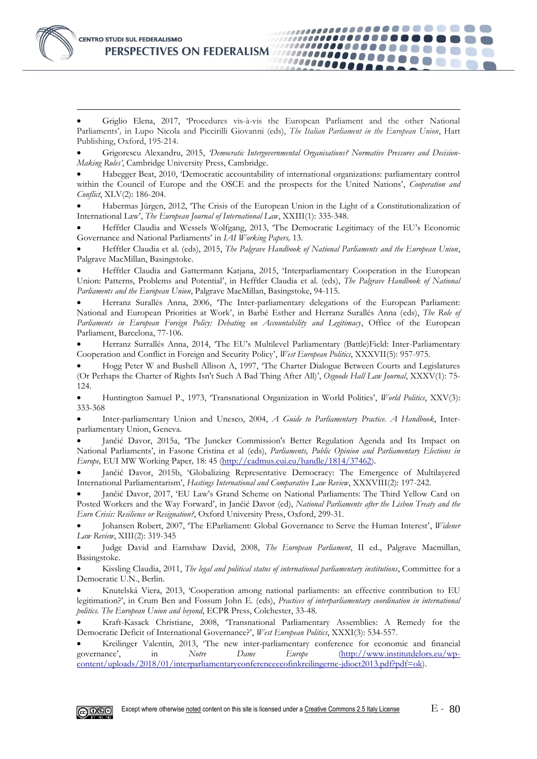

• Griglio Elena, 2017, 'Procedures vis-à-vis the European Parliament and the other National Parliaments'*,* in Lupo Nicola and Piccirilli Giovanni (eds), *The Italian Parliament in the European Union*, Hart Publishing, Oxford, 195-214.

100000000000000000

..........

100000000

,,,,,,,,,,,,,,

1111111111111111

• Grigorescu Alexandru, 2015, *'Democratic Intergovernmental Organisations? Normative Pressures and Decision-Making Rules'*, Cambridge University Press, Cambridge.

• Habegger Beat, 2010, 'Democratic accountability of international organizations: parliamentary control within the Council of Europe and the OSCE and the prospects for the United Nations', *Cooperation and Conflict*, XLV(2): 186-204.

• Habermas Jürgen, 2012, 'The Crisis of the European Union in the Light of a Constitutionalization of International Law', *The European Journal of International Law*, XXIII(1): 335-348.

• Hefftler Claudia and Wessels Wolfgang, 2013, 'The Democratic Legitimacy of the EU's Economic Governance and National Parliaments' in *IAI Working Papers,* 13.

• Hefftler Claudia et al. (eds), 2015, *The Palgrave Handbook of National Parliaments and the European Union*, Palgrave MacMillan, Basingstoke.

• Hefftler Claudia and Gattermann Katjana, 2015, 'Interparliamentary Cooperation in the European Union: Patterns, Problems and Potential', in Hefftler Claudia et al. (eds), *The Palgrave Handbook of National Parliaments and the European Union*, Palgrave MacMillan, Basingstoke, 94-115.

• Herranz Surallés Anna, 2006, 'The Inter-parliamentary delegations of the European Parliament: National and European Priorities at Work', in Barbé Esther and Herranz Surallés Anna (eds), *The Role of Parliaments in European Foreign Policy: Debating on Accountability and Legitimacy*, Office of the European Parliament, Barcelona, 77-106.

• Herranz Surrallés Anna, 2014, 'The EU's Multilevel Parliamentary (Battle)Field: Inter-Parliamentary Cooperation and Conflict in Foreign and Security Policy', *West European Politics*, XXXVII(5): 957-975.

• Hogg Peter W and Bushell Allison A, 1997, 'The Charter Dialogue Between Courts and Legislatures (Or Perhaps the Charter of Rights Isn't Such A Bad Thing After All)', *Osgoode Hall Law Journal*, XXXV(1): 75- 124.

• Huntington Samuel P., 1973, 'Transnational Organization in World Politics', *World Politics*, XXV(3): 333-368

• Inter-parliamentary Union and Unesco, 2004, *A Guide to Parliamentary Practice. A Handbook*, Interparliamentary Union, Geneva.

• Jančić Davor, 2015a, 'The Juncker Commission's Better Regulation Agenda and Its Impact on National Parliaments', in Fasone Cristina et al (eds), *Parliaments, Public Opinion and Parliamentary Elections in Europe,* EUI MW Working Paper*,* 18: 45 [\(http://cadmus.eui.eu/handle/1814/37462\)](http://cadmus.eui.eu/handle/1814/37462).

• Jančić Davor, 2015b, 'Globalizing Representative Democracy: The Emergence of Multilayered International Parliamentarism', *Hastings International and Comparative Law Review*, XXXVIII(2): 197-242.

• Jančić Davor, 2017, 'EU Law's Grand Scheme on National Parliaments: The Third Yellow Card on Posted Workers and the Way Forward', in Jančić Davor (ed), *National Parliaments after the Lisbon Treaty and the Euro Crisis: Resilience or Resignation?*, Oxford University Press, Oxford, 299-31.

• Johansen Robert, 2007, 'The EParliament: Global Governance to Serve the Human Interest', *Widener Law Review*, XIII(2): 319-345

• Judge David and Earnshaw David, 2008, *The European Parliament*, II ed., Palgrave Macmillan, Basingstoke.

• Kissling Claudia, 2011, *The legal and political status of international parliamentary institutions*, Committee for a Democratic U.N., Berlin.

• Knutelská Viera, 2013, 'Cooperation among national parliaments: an effective contribution to EU legitimation?', in Crum Ben and Fossum John E. (eds), *Practices of interparliamentary coordination in international politics. The European Union and beyond*, ECPR Press, Colchester, 33-48.

• Kraft-Kasack Christiane, 2008, 'Transnational Parliamentary Assemblies: A Remedy for the Democratic Deficit of International Governance?', *West European Politics*, XXXI(3): 534-557.

• Kreilinger Valentin, 2013, 'The new inter-parliamentary conference for economic and financial governance', in *Notre Dame Europe* [\(http://www.institutdelors.eu/wp](http://www.institutdelors.eu/wp-content/uploads/2018/01/interparliamentaryconferenceecofinkreilingerne-jdioct2013.pdf?pdf=ok)[content/uploads/2018/01/interparliamentaryconferenceecofinkreilingerne-jdioct2013.pdf?pdf=ok\)](http://www.institutdelors.eu/wp-content/uploads/2018/01/interparliamentaryconferenceecofinkreilingerne-jdioct2013.pdf?pdf=ok).

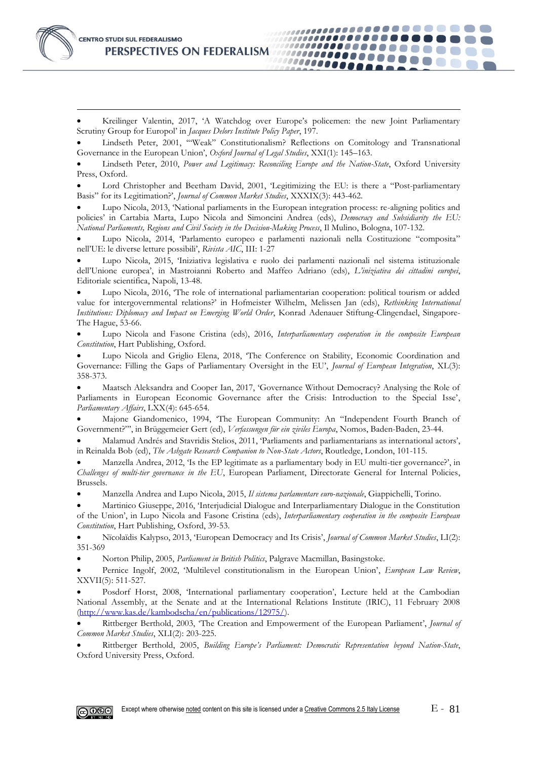• Kreilinger Valentin, 2017, 'A Watchdog over Europe's policemen: the new Joint Parliamentary Scrutiny Group for Europol' in *Jacques Delors Institute Policy Paper*, 197.

,,,,,,,,,,,,,,,,,,,,,,

,,,,,,,,,,,,,,,

1000000000000

*\_\_\_\_\_\_\_\_* 

00000000

• Lindseth Peter, 2001, '"Weak" Constitutionalism? Reflections on Comitology and Transnational Governance in the European Union', *Oxford Journal of Legal Studies*, XXI(1): 145–163.

• Lindseth Peter, 2010, *Power and Legitimacy: Reconciling Europe and the Nation-State*, Oxford University Press, Oxford.

• Lord Christopher and Beetham David, 2001, 'Legitimizing the EU: is there a "Post-parliamentary Basis" for its Legitimation?', *Journal of Common Market Studies*, XXXIX(3): 443-462.

• Lupo Nicola, 2013, 'National parliaments in the European integration process: re-aligning politics and policies' in Cartabia Marta, Lupo Nicola and Simoncini Andrea (eds), *Democracy and Subsidiarity the EU: National Parliaments, Regions and Civil Society in the Decision-Making Process*, Il Mulino, Bologna, 107-132.

• Lupo Nicola, 2014, 'Parlamento europeo e parlamenti nazionali nella Costituzione "composita" nell'UE: le diverse letture possibili', *Rivista AIC*, III: 1-27

• Lupo Nicola, 2015, 'Iniziativa legislativa e ruolo dei parlamenti nazionali nel sistema istituzionale dell'Unione europea', in Mastroianni Roberto and Maffeo Adriano (eds), *L'iniziativa dei cittadini europei*, Editoriale scientifica, Napoli, 13-48.

• Lupo Nicola, 2016, 'The role of international parliamentarian cooperation: political tourism or added value for intergovernmental relations?' in Hofmeister Wilhelm, Melissen Jan (eds), *Rethinking International Institutions: Diplomacy and Impact on Emerging World Order*, Konrad Adenauer Stiftung-Clingendael, Singapore-The Hague, 53-66.

• Lupo Nicola and Fasone Cristina (eds), 2016, *Interparliamentary cooperation in the composite European Constitution*, Hart Publishing, Oxford.

• Lupo Nicola and Griglio Elena, 2018, 'The Conference on Stability, Economic Coordination and Governance: Filling the Gaps of Parliamentary Oversight in the EU', *Journal of European Integration*, XL(3): 358-373.

• Maatsch Aleksandra and Cooper Ian, 2017, 'Governance Without Democracy? Analysing the Role of Parliaments in European Economic Governance after the Crisis: Introduction to the Special Isse', *Parliamentary Affairs*, LXX(4): 645-654.

• Majone Giandomenico, 1994, 'The European Community: An "Independent Fourth Branch of Government?"', in Brüggemeier Gert (ed), *Verfassungen für ein ziviles Europa*, Nomos, Baden-Baden, 23-44.

• Malamud Andrés and Stavridis Stelios, 2011, 'Parliaments and parliamentarians as international actors', in Reinalda Bob (ed), *The Ashgate Research Companion to Non-State Actors*, Routledge, London, 101-115.

• Manzella Andrea, 2012, 'Is the EP legitimate as a parliamentary body in EU multi-tier governance?', in *Challenges of multi-tier governance in the EU*, European Parliament, Directorate General for Internal Policies, Brussels.

• Manzella Andrea and Lupo Nicola, 2015, *Il sistema parlamentare euro-nazionale*, Giappichelli, Torino.

• Martinico Giuseppe, 2016, 'Interjudicial Dialogue and Interparliamentary Dialogue in the Constitution of the Union', in Lupo Nicola and Fasone Cristina (eds), *Interparliamentary cooperation in the composite European Constitution*, Hart Publishing, Oxford, 39-53.

• Nïcolaïdis Kalypso, 2013, 'European Democracy and Its Crisis', *Journal of Common Market Studies*, LI(2): 351-369

• Norton Philip, 2005, *Parliament in British Politics*, Palgrave Macmillan, Basingstoke.

• Pernice Ingolf, 2002, 'Multilevel constitutionalism in the European Union', *European Law Review*, XXVII(5): 511-527.

• Posdorf Horst, 2008, 'International parliamentary cooperation', Lecture held at the Cambodian National Assembly, at the Senate and at the International Relations Institute (IRIC), 11 February 2008 [\(http://www.kas.de/kambodscha/en/publications/12975/\)](http://www.kas.de/kambodscha/en/publications/12975/).

• Rittberger Berthold, 2003, 'The Creation and Empowerment of the European Parliament', *Journal of Common Market Studies*, XLI(2): 203-225.

• Rittberger Berthold, 2005, *Building Europe's Parliament: Democratic Representation beyond Nation-State*, Oxford University Press, Oxford.